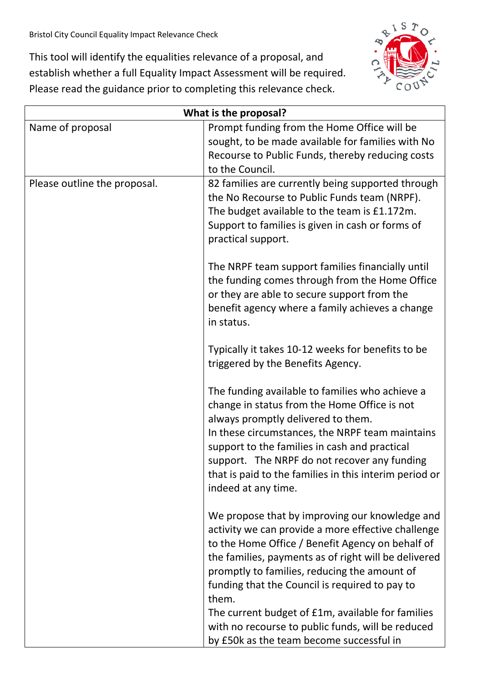This tool will identify the equalities relevance of a proposal, and establish whether a full Equality Impact Assessment will be required. Please read the guidance prior to completing this relevance check.



| What is the proposal?        |                                                                                                                                                                                                                                                                                                                                                                                                                                                                                   |
|------------------------------|-----------------------------------------------------------------------------------------------------------------------------------------------------------------------------------------------------------------------------------------------------------------------------------------------------------------------------------------------------------------------------------------------------------------------------------------------------------------------------------|
| Name of proposal             | Prompt funding from the Home Office will be<br>sought, to be made available for families with No<br>Recourse to Public Funds, thereby reducing costs<br>to the Council.                                                                                                                                                                                                                                                                                                           |
| Please outline the proposal. | 82 families are currently being supported through<br>the No Recourse to Public Funds team (NRPF).<br>The budget available to the team is £1.172m.<br>Support to families is given in cash or forms of<br>practical support.                                                                                                                                                                                                                                                       |
|                              | The NRPF team support families financially until<br>the funding comes through from the Home Office<br>or they are able to secure support from the<br>benefit agency where a family achieves a change<br>in status.                                                                                                                                                                                                                                                                |
|                              | Typically it takes 10-12 weeks for benefits to be<br>triggered by the Benefits Agency.                                                                                                                                                                                                                                                                                                                                                                                            |
|                              | The funding available to families who achieve a<br>change in status from the Home Office is not<br>always promptly delivered to them.<br>In these circumstances, the NRPF team maintains<br>support to the families in cash and practical<br>support. The NRPF do not recover any funding<br>that is paid to the families in this interim period or<br>indeed at any time.                                                                                                        |
|                              | We propose that by improving our knowledge and<br>activity we can provide a more effective challenge<br>to the Home Office / Benefit Agency on behalf of<br>the families, payments as of right will be delivered<br>promptly to families, reducing the amount of<br>funding that the Council is required to pay to<br>them.<br>The current budget of £1m, available for families<br>with no recourse to public funds, will be reduced<br>by £50k as the team become successful in |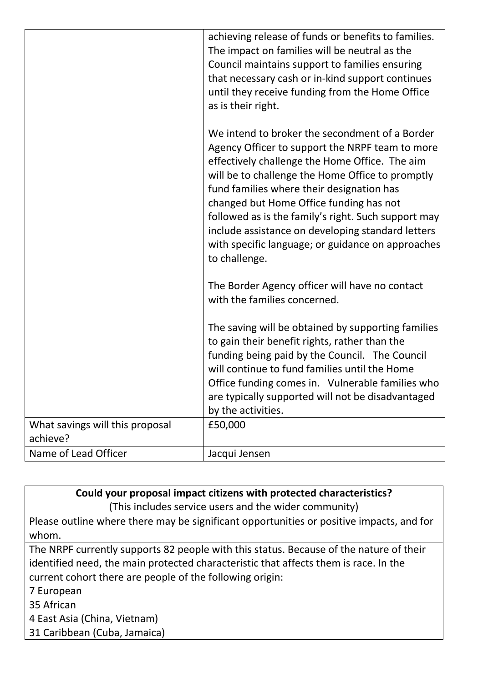|                                 | achieving release of funds or benefits to families.<br>The impact on families will be neutral as the<br>Council maintains support to families ensuring<br>that necessary cash or in-kind support continues<br>until they receive funding from the Home Office<br>as is their right.                                                                                                                                                                                               |
|---------------------------------|-----------------------------------------------------------------------------------------------------------------------------------------------------------------------------------------------------------------------------------------------------------------------------------------------------------------------------------------------------------------------------------------------------------------------------------------------------------------------------------|
|                                 | We intend to broker the secondment of a Border<br>Agency Officer to support the NRPF team to more<br>effectively challenge the Home Office. The aim<br>will be to challenge the Home Office to promptly<br>fund families where their designation has<br>changed but Home Office funding has not<br>followed as is the family's right. Such support may<br>include assistance on developing standard letters<br>with specific language; or guidance on approaches<br>to challenge. |
|                                 | The Border Agency officer will have no contact<br>with the families concerned.                                                                                                                                                                                                                                                                                                                                                                                                    |
|                                 | The saving will be obtained by supporting families<br>to gain their benefit rights, rather than the<br>funding being paid by the Council. The Council<br>will continue to fund families until the Home<br>Office funding comes in. Vulnerable families who<br>are typically supported will not be disadvantaged<br>by the activities.                                                                                                                                             |
| What savings will this proposal | £50,000                                                                                                                                                                                                                                                                                                                                                                                                                                                                           |
| achieve?                        |                                                                                                                                                                                                                                                                                                                                                                                                                                                                                   |
| Name of Lead Officer            | Jacqui Jensen                                                                                                                                                                                                                                                                                                                                                                                                                                                                     |

| Could your proposal impact citizens with protected characteristics?                      |  |
|------------------------------------------------------------------------------------------|--|
| (This includes service users and the wider community)                                    |  |
| Please outline where there may be significant opportunities or positive impacts, and for |  |
| whom.                                                                                    |  |
| The NRPF currently supports 82 people with this status. Because of the nature of their   |  |
| identified need, the main protected characteristic that affects them is race. In the     |  |
| current cohort there are people of the following origin:                                 |  |
| 7 European                                                                               |  |
| 35 African                                                                               |  |
| 4 East Asia (China, Vietnam)                                                             |  |
| 31 Caribbean (Cuba, Jamaica)                                                             |  |